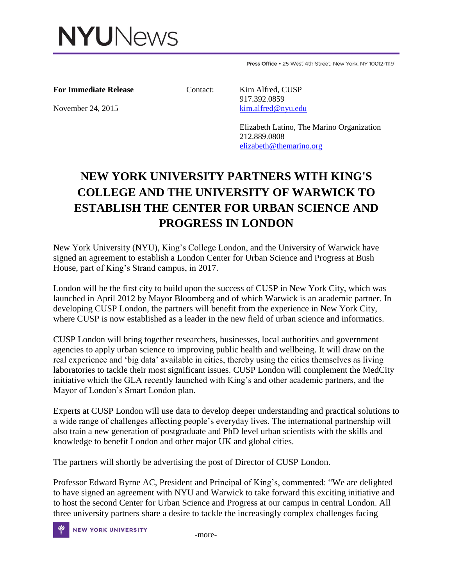

Press Office . 25 West 4th Street, New York, NY 10012-1119

**For Immediate Release Contact:** Kim Alfred, CUSP

 917.392.0859 November 24, 2015 [kim.alfred@nyu.edu](mailto:kim.alfred@nyu.edu)

> Elizabeth Latino, The Marino Organization 212.889.0808 [elizabeth@themarino.org](mailto:elizabeth@themarino.org)

## **NEW YORK UNIVERSITY PARTNERS WITH KING'S COLLEGE AND THE UNIVERSITY OF WARWICK TO ESTABLISH THE CENTER FOR URBAN SCIENCE AND PROGRESS IN LONDON**

New York University (NYU), King's College London, and the University of Warwick have signed an agreement to establish a London Center for Urban Science and Progress at Bush House, part of King's Strand campus, in 2017.

London will be the first city to build upon the success of CUSP in New York City, which was launched in April 2012 by Mayor Bloomberg and of which Warwick is an academic partner. In developing CUSP London, the partners will benefit from the experience in New York City, where CUSP is now established as a leader in the new field of urban science and informatics.

CUSP London will bring together researchers, businesses, local authorities and government agencies to apply urban science to improving public health and wellbeing. It will draw on the real experience and 'big data' available in cities, thereby using the cities themselves as living laboratories to tackle their most significant issues. CUSP London will complement the MedCity initiative which the GLA recently launched with King's and other academic partners, and the Mayor of London's Smart London plan.

Experts at CUSP London will use data to develop deeper understanding and practical solutions to a wide range of challenges affecting people's everyday lives. The international partnership will also train a new generation of postgraduate and PhD level urban scientists with the skills and knowledge to benefit London and other major UK and global cities.

The partners will shortly be advertising the post of Director of CUSP London.

Professor Edward Byrne AC, President and Principal of King's, commented: "We are delighted to have signed an agreement with NYU and Warwick to take forward this exciting initiative and to host the second Center for Urban Science and Progress at our campus in central London. All three university partners share a desire to tackle the increasingly complex challenges facing

NEW YORK UNIVERSITY THE THOTE-